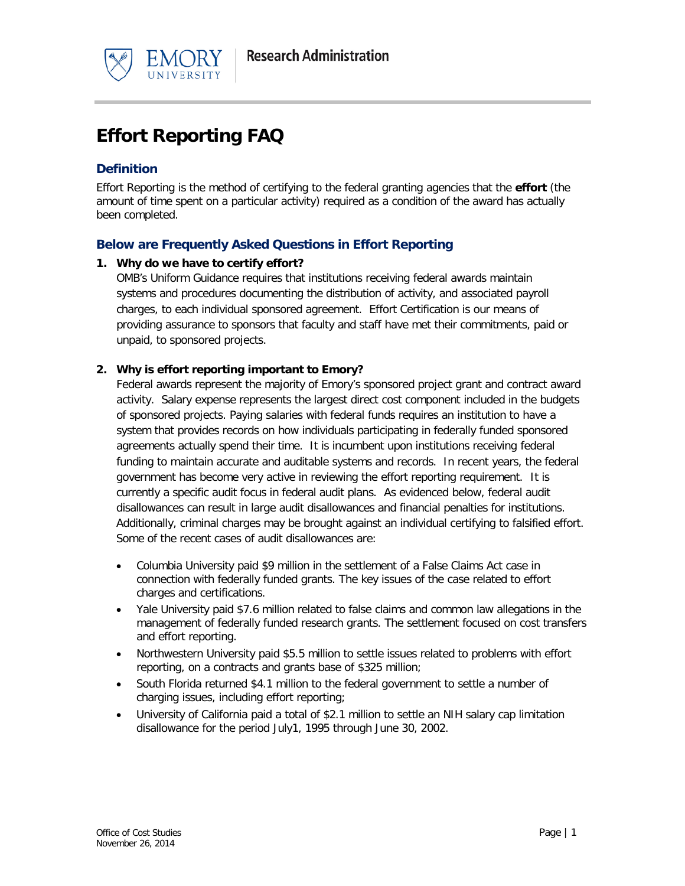



# **Effort Reporting FAQ**

# **Definition**

Effort Reporting is the method of certifying to the federal granting agencies that the **effort** (the amount of time spent on a particular activity) required as a condition of the award has actually been completed.

# **Below are Frequently Asked Questions in Effort Reporting**

## **1. Why do we have to certify effort?**

OMB's Uniform Guidance requires that institutions receiving federal awards maintain systems and procedures documenting the distribution of activity, and associated payroll charges, to each individual sponsored agreement. Effort Certification is our means of providing assurance to sponsors that faculty and staff have met their commitments, paid or unpaid, to sponsored projects.

### **2. Why is effort reporting important to Emory?**

Federal awards represent the majority of Emory's sponsored project grant and contract award activity. Salary expense represents the largest direct cost component included in the budgets of sponsored projects. Paying salaries with federal funds requires an institution to have a system that provides records on how individuals participating in federally funded sponsored agreements actually spend their time. It is incumbent upon institutions receiving federal funding to maintain accurate and auditable systems and records. In recent years, the federal government has become very active in reviewing the effort reporting requirement. It is currently a specific audit focus in federal audit plans. As evidenced below, federal audit disallowances can result in large audit disallowances and financial penalties for institutions. Additionally, criminal charges may be brought against an individual certifying to falsified effort. Some of the recent cases of audit disallowances are:

- Columbia University paid \$9 million in the settlement of a False Claims Act case in connection with federally funded grants. The key issues of the case related to effort charges and certifications.
- Yale University paid \$7.6 million related to false claims and common law allegations in the management of federally funded research grants. The settlement focused on cost transfers and effort reporting.
- Northwestern University paid \$5.5 million to settle issues related to problems with effort reporting, on a contracts and grants base of \$325 million;
- South Florida returned \$4.1 million to the federal government to settle a number of charging issues, including effort reporting;
- University of California paid a total of \$2.1 million to settle an NIH salary cap limitation disallowance for the period July1, 1995 through June 30, 2002.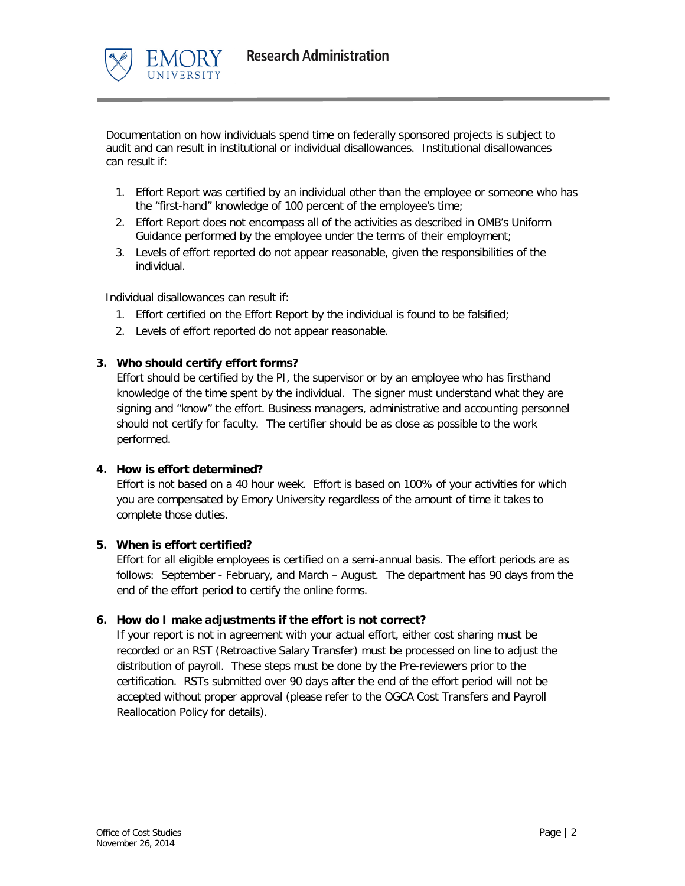

Documentation on how individuals spend time on federally sponsored projects is subject to audit and can result in institutional or individual disallowances. Institutional disallowances can result if:

- 1. Effort Report was certified by an individual other than the employee or someone who has the "first-hand" knowledge of 100 percent of the employee's time;
- 2. Effort Report does not encompass all of the activities as described in OMB's Uniform Guidance performed by the employee under the terms of their employment;
- 3. Levels of effort reported do not appear reasonable, given the responsibilities of the individual.

Individual disallowances can result if:

- 1. Effort certified on the Effort Report by the individual is found to be falsified;
- 2. Levels of effort reported do not appear reasonable.

#### **3. Who should certify effort forms?**

Effort should be certified by the PI, the supervisor or by an employee who has firsthand knowledge of the time spent by the individual. The signer must understand what they are signing and "know" the effort. Business managers, administrative and accounting personnel should not certify for faculty. The certifier should be as close as possible to the work performed.

#### **4. How is effort determined?**

Effort is not based on a 40 hour week. Effort is based on 100% of your activities for which you are compensated by Emory University regardless of the amount of time it takes to complete those duties.

#### **5. When is effort certified?**

Effort for all eligible employees is certified on a semi-annual basis. The effort periods are as follows: September - February, and March – August. The department has 90 days from the end of the effort period to certify the online forms.

#### **6. How do I make adjustments if the effort is not correct?**

If your report is not in agreement with your actual effort, either cost sharing must be recorded or an RST (Retroactive Salary Transfer) must be processed on line to adjust the distribution of payroll. These steps must be done by the Pre-reviewers prior to the certification. RSTs submitted over 90 days after the end of the effort period will not be accepted without proper approval (please refer to the OGCA Cost Transfers and Payroll Reallocation Policy for details).